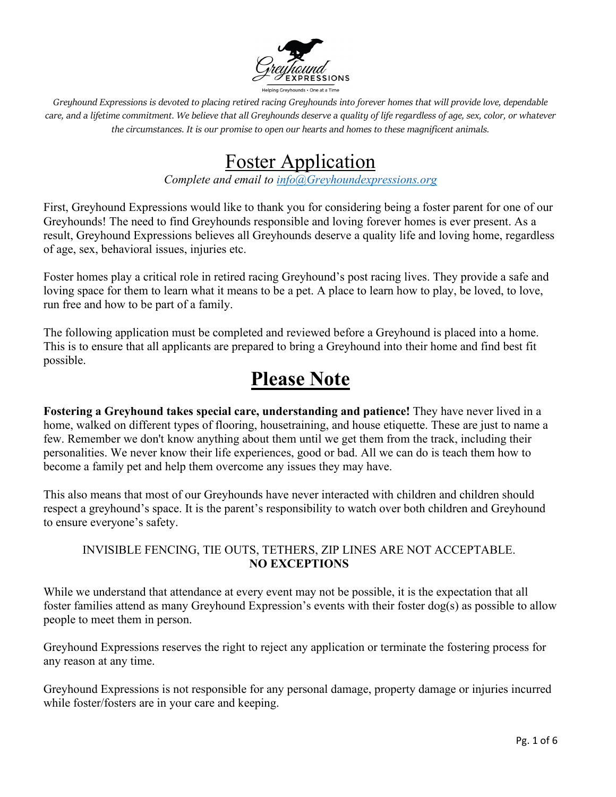

## Foster Application

*Complete and email to [info@Greyhoundexpressions.org](mailto:info@Greyhoundexpressions.org)*

First, Greyhound Expressions would like to thank you for considering being a foster parent for one of our Greyhounds! The need to find Greyhounds responsible and loving forever homes is ever present. As a result, Greyhound Expressions believes all Greyhounds deserve a quality life and loving home, regardless of age, sex, behavioral issues, injuries etc.

Foster homes play a critical role in retired racing Greyhound's post racing lives. They provide a safe and loving space for them to learn what it means to be a pet. A place to learn how to play, be loved, to love, run free and how to be part of a family.

The following application must be completed and reviewed before a Greyhound is placed into a home. This is to ensure that all applicants are prepared to bring a Greyhound into their home and find best fit possible.

# **Please Note**

**Fostering a Greyhound takes special care, understanding and patience!** They have never lived in a home, walked on different types of flooring, housetraining, and house etiquette. These are just to name a few. Remember we don't know anything about them until we get them from the track, including their personalities. We never know their life experiences, good or bad. All we can do is teach them how to become a family pet and help them overcome any issues they may have.

This also means that most of our Greyhounds have never interacted with children and children should respect a greyhound's space. It is the parent's responsibility to watch over both children and Greyhound to ensure everyone's safety.

### INVISIBLE FENCING, TIE OUTS, TETHERS, ZIP LINES ARE NOT ACCEPTABLE. **NO EXCEPTIONS**

While we understand that attendance at every event may not be possible, it is the expectation that all foster families attend as many Greyhound Expression's events with their foster dog(s) as possible to allow people to meet them in person.

Greyhound Expressions reserves the right to reject any application or terminate the fostering process for any reason at any time.

Greyhound Expressions is not responsible for any personal damage, property damage or injuries incurred while foster/fosters are in your care and keeping.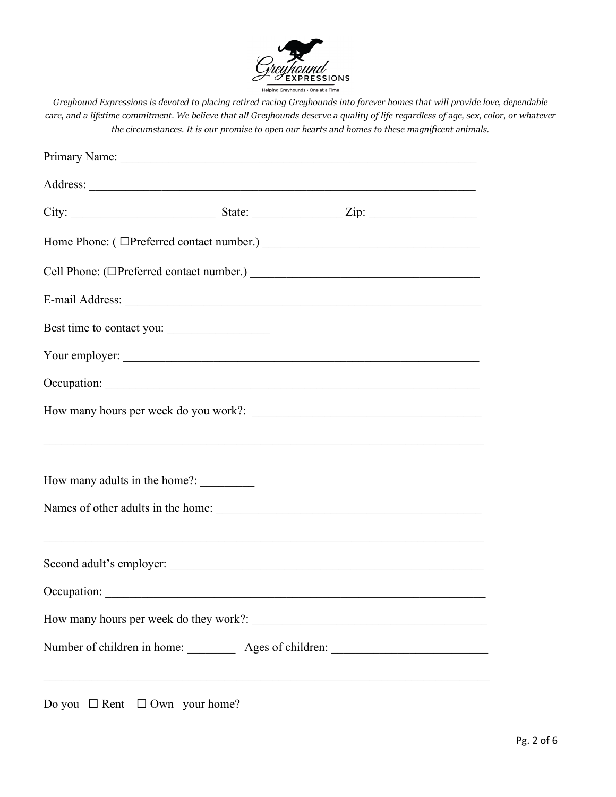

| Best time to contact you:                                                        |  |  |
|----------------------------------------------------------------------------------|--|--|
| Your employer:                                                                   |  |  |
|                                                                                  |  |  |
|                                                                                  |  |  |
| ,我们也不能在这里的时候,我们也不能在这里的时候,我们也不能会在这里的时候,我们也不能会在这里的时候,我们也不能会在这里的时候,我们也不能会在这里的时候,我们也 |  |  |
|                                                                                  |  |  |
|                                                                                  |  |  |
|                                                                                  |  |  |
|                                                                                  |  |  |
| Number of children in home: <u>Ages of children:</u>                             |  |  |
|                                                                                  |  |  |

Do you  $\Box$  Rent  $\Box$  Own your home?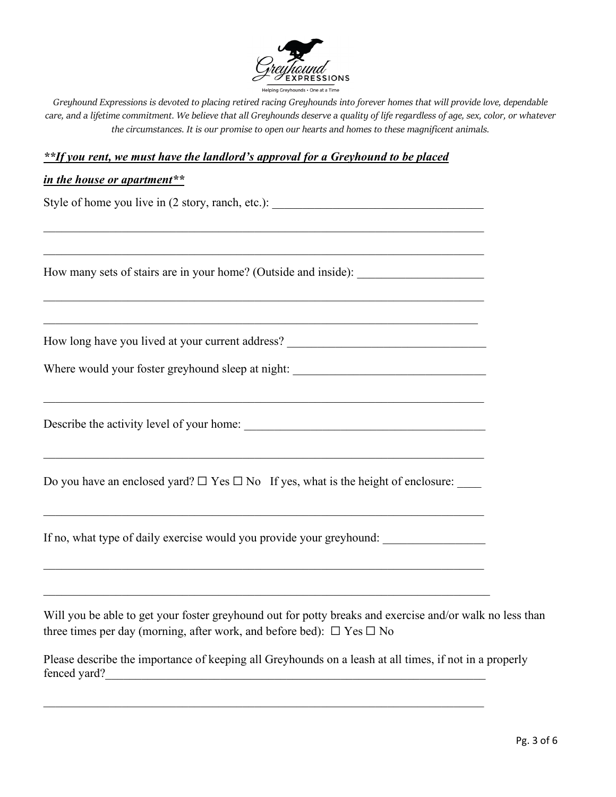

#### *\*\*If you rent, we must have the landlord's approval for a Greyhound to be placed*

 $\mathcal{L}_\text{max} = \mathcal{L}_\text{max} = \mathcal{L}_\text{max} = \mathcal{L}_\text{max} = \mathcal{L}_\text{max} = \mathcal{L}_\text{max} = \mathcal{L}_\text{max} = \mathcal{L}_\text{max} = \mathcal{L}_\text{max} = \mathcal{L}_\text{max} = \mathcal{L}_\text{max} = \mathcal{L}_\text{max} = \mathcal{L}_\text{max} = \mathcal{L}_\text{max} = \mathcal{L}_\text{max} = \mathcal{L}_\text{max} = \mathcal{L}_\text{max} = \mathcal{L}_\text{max} = \mathcal{$ 

 $\mathcal{L}_\text{G}$  , and the contribution of the contribution of the contribution of the contribution of the contribution of the contribution of the contribution of the contribution of the contribution of the contribution of t

#### *in the house or apartment\*\**

Style of home you live in (2 story, ranch, etc.): \_\_\_\_\_\_\_\_\_\_\_\_\_\_\_\_\_\_\_\_\_\_\_\_\_\_\_\_\_\_\_

How many sets of stairs are in your home? (Outside and inside):

How long have you lived at your current address? \_\_\_\_\_\_\_\_\_\_\_\_\_\_\_\_\_\_\_\_\_\_\_\_\_\_\_\_\_\_\_

|  | Where would your foster greyhound sleep at night: |  |
|--|---------------------------------------------------|--|
|  |                                                   |  |

 $\mathcal{L}_\text{G}$  , and the contribution of the contribution of the contribution of the contribution of the contribution of the contribution of the contribution of the contribution of the contribution of the contribution of t

Describe the activity level of your home: \_\_\_\_\_\_\_\_\_\_\_\_\_\_\_\_\_\_\_\_\_\_\_\_\_\_\_\_\_\_\_\_\_\_\_\_\_\_\_\_

Do you have an enclosed yard?  $\Box$  Yes  $\Box$  No If yes, what is the height of enclosure:

 $\mathcal{L}_\text{G}$  , and the contribution of the contribution of the contribution of the contribution of the contribution of the contribution of the contribution of the contribution of the contribution of the contribution of t

If no, what type of daily exercise would you provide your greyhound:

\_\_\_\_\_\_\_\_\_\_\_\_\_\_\_\_\_\_\_\_\_\_\_\_\_\_\_\_\_\_\_\_\_\_\_\_\_\_\_\_\_\_\_\_\_\_\_\_\_\_\_\_\_\_\_\_\_\_\_\_\_\_\_\_\_\_\_\_\_\_\_\_\_\_

 $\mathcal{L}_\text{G}$  , and the contribution of the contribution of the contribution of the contribution of the contribution of the contribution of the contribution of the contribution of the contribution of the contribution of t

Will you be able to get your foster greyhound out for potty breaks and exercise and/or walk no less than three times per day (morning, after work, and before bed):  $\Box$  Yes  $\Box$  No

Please describe the importance of keeping all Greyhounds on a leash at all times, if not in a properly fenced yard?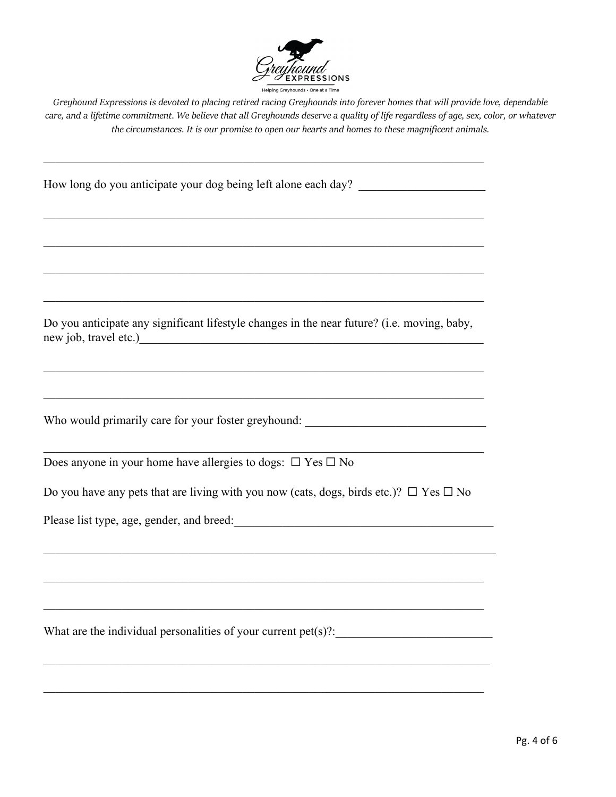

How long do you anticipate your dog being left alone each day?

Do you anticipate any significant lifestyle changes in the near future? (i.e. moving, baby, new job, travel etc.)

 $\mathcal{L}_\text{G}$  , and the contribution of the contribution of the contribution of the contribution of the contribution of the contribution of the contribution of the contribution of the contribution of the contribution of t

 $\mathcal{L}_\text{G}$  , and the contribution of the contribution of the contribution of the contribution of the contribution of the contribution of the contribution of the contribution of the contribution of the contribution of t

 $\mathcal{L}_\text{G}$  , and the contribution of the contribution of the contribution of the contribution of the contribution of the contribution of the contribution of the contribution of the contribution of the contribution of t

Who would primarily care for your foster greyhound:

Does anyone in your home have allergies to dogs:  $\Box$  Yes  $\Box$  No

Do you have any pets that are living with you now (cats, dogs, birds etc.)?  $\Box$  Yes  $\Box$  No

\_\_\_\_\_\_\_\_\_\_\_\_\_\_\_\_\_\_\_\_\_\_\_\_\_\_\_\_\_\_\_\_\_\_\_\_\_\_\_\_\_\_\_\_\_\_\_\_\_\_\_\_\_\_\_\_\_\_\_\_\_\_\_\_\_\_\_\_\_\_\_\_\_\_\_

 $\mathcal{L}_\text{G}$  , and the contribution of the contribution of the contribution of the contribution of the contribution of the contribution of the contribution of the contribution of the contribution of the contribution of t

 $\mathcal{L}_\text{G}$  , and the contribution of the contribution of the contribution of the contribution of the contribution of the contribution of the contribution of the contribution of the contribution of the contribution of t

 $\mathcal{L}_\text{G}$  , and the contribution of the contribution of the contribution of the contribution of the contribution of the contribution of the contribution of the contribution of the contribution of the contribution of t

Please list type, age, gender, and breed:\_\_\_\_\_\_\_\_\_\_\_\_\_\_\_\_\_\_\_\_\_\_\_\_\_\_\_\_\_\_\_\_\_\_\_\_\_\_\_\_\_\_\_

What are the individual personalities of your current pet(s)?: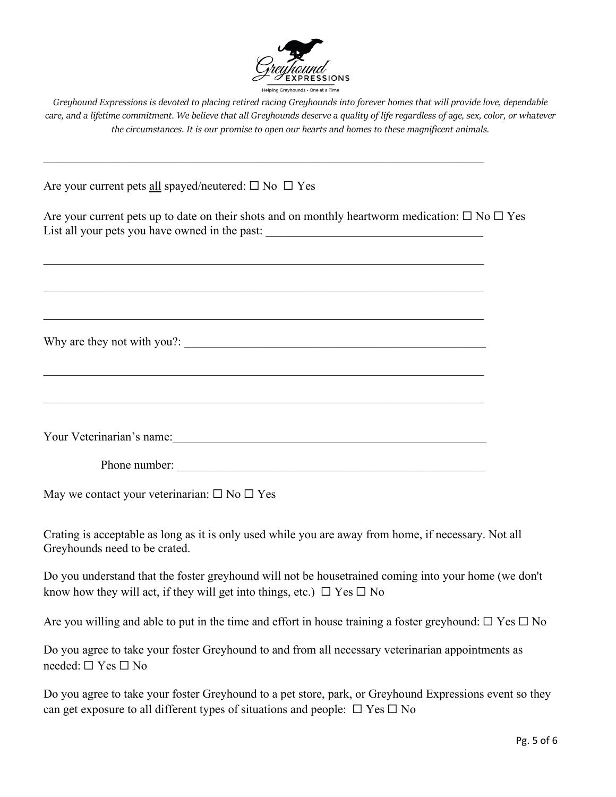

Are your current pets <u>all</u> spayed/neutered:  $\square$  No  $\square$  Yes

Are your current pets up to date on their shots and on monthly heartworm medication:  $\Box$  No  $\Box$  Yes List all your pets you have owned in the past: \_\_\_\_\_\_\_\_\_\_\_\_\_\_\_\_\_\_\_\_\_\_\_\_\_\_\_\_\_\_\_\_\_

 $\mathcal{L}_\text{G}$  , and the contribution of the contribution of the contribution of the contribution of the contribution of the contribution of the contribution of the contribution of the contribution of the contribution of t

 $\mathcal{L}_\text{G}$  , and the contribution of the contribution of the contribution of the contribution of the contribution of the contribution of the contribution of the contribution of the contribution of the contribution of t

 $\mathcal{L}_\text{G}$  , and the contribution of the contribution of the contribution of the contribution of the contribution of the contribution of the contribution of the contribution of the contribution of the contribution of t

Why are they not with you?: \_\_\_\_\_\_\_\_\_\_\_\_\_\_\_\_\_\_\_\_\_\_\_\_\_\_\_\_\_\_\_\_\_\_\_\_\_\_\_\_\_\_\_\_\_\_\_\_\_\_

Your Veterinarian's name:

 $\mathcal{L}_\text{G}$  , and the contribution of the contribution of the contribution of the contribution of the contribution of the contribution of the contribution of the contribution of the contribution of the contribution of t

Phone number:

May we contact your veterinarian:  $\Box$  No  $\Box$  Yes

Crating is acceptable as long as it is only used while you are away from home, if necessary. Not all Greyhounds need to be crated.

Do you understand that the foster greyhound will not be housetrained coming into your home (we don't know how they will act, if they will get into things, etc.)  $\Box$  Yes  $\Box$  No

Are you willing and able to put in the time and effort in house training a foster greyhound:  $\Box$  Yes  $\Box$  No

Do you agree to take your foster Greyhound to and from all necessary veterinarian appointments as needed: ☐ Yes ☐ No

Do you agree to take your foster Greyhound to a pet store, park, or Greyhound Expressions event so they can get exposure to all different types of situations and people:  $\Box$  Yes  $\Box$  No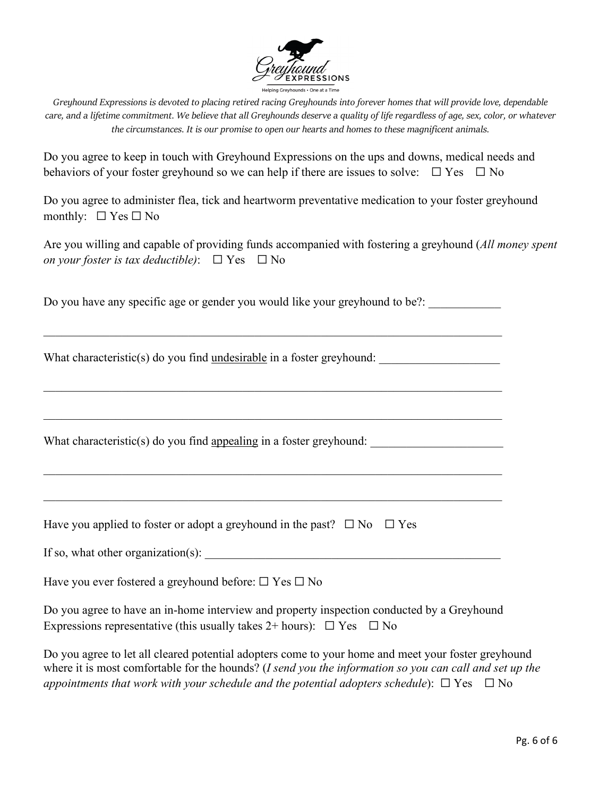

Do you agree to keep in touch with Greyhound Expressions on the ups and downs, medical needs and behaviors of your foster greyhound so we can help if there are issues to solve:  $\Box$  Yes  $\Box$  No

Do you agree to administer flea, tick and heartworm preventative medication to your foster greyhound monthly:  $\Box$  Yes  $\Box$  No

| Are you willing and capable of providing funds accompanied with fostering a greyhound (All money spent |  |  |  |
|--------------------------------------------------------------------------------------------------------|--|--|--|
| on your foster is tax deductible): $\Box$ Yes $\Box$ No                                                |  |  |  |

Do you have any specific age or gender you would like your greyhound to be?:

\_\_\_\_\_\_\_\_\_\_\_\_\_\_\_\_\_\_\_\_\_\_\_\_\_\_\_\_\_\_\_\_\_\_\_\_\_\_\_\_\_\_\_\_\_\_\_\_\_\_\_\_\_\_\_\_\_\_\_\_\_\_\_\_\_\_\_\_\_\_\_\_\_\_\_\_

\_\_\_\_\_\_\_\_\_\_\_\_\_\_\_\_\_\_\_\_\_\_\_\_\_\_\_\_\_\_\_\_\_\_\_\_\_\_\_\_\_\_\_\_\_\_\_\_\_\_\_\_\_\_\_\_\_\_\_\_\_\_\_\_\_\_\_\_\_\_\_\_\_\_\_\_

What characteristic(s) do you find undesirable in a foster greyhound:

What characteristic(s) do you find appealing in a foster greyhound:

| Have you applied to foster or adopt a greyhound in the past? $\Box$ No $\Box$ Yes |  |  |
|-----------------------------------------------------------------------------------|--|--|
|-----------------------------------------------------------------------------------|--|--|

| If so, what other organization(s): |  |
|------------------------------------|--|
|------------------------------------|--|

Have you ever fostered a greyhound before:  $\Box$  Yes  $\Box$  No

| Do you agree to have an in-home interview and property inspection conducted by a Greyhound |  |
|--------------------------------------------------------------------------------------------|--|
| Expressions representative (this usually takes $2+$ hours): $\Box$ Yes $\Box$ No           |  |

Do you agree to let all cleared potential adopters come to your home and meet your foster greyhound where it is most comfortable for the hounds? (*I send you the information so you can call and set up the appointments that work with your schedule and the potential adopters schedule*):  $\Box$  Yes  $\Box$  No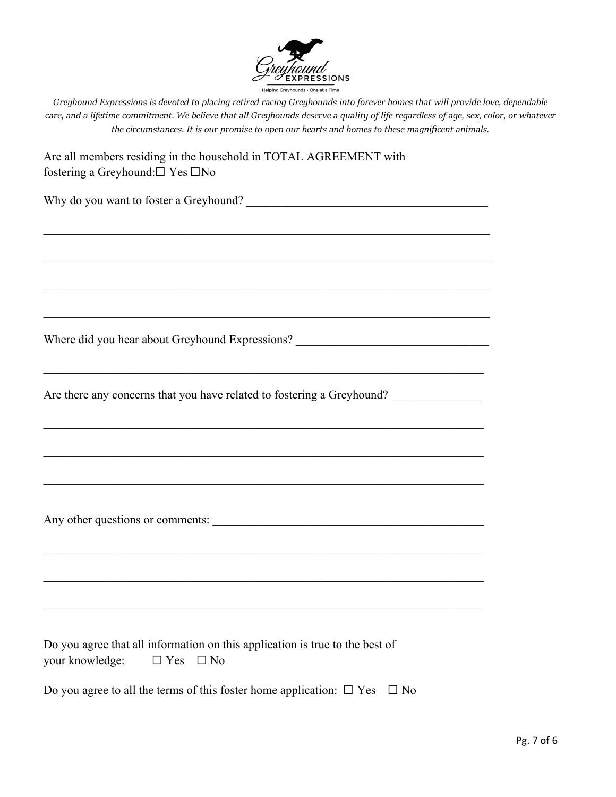

| Are all members residing in the household in TOTAL AGREEMENT with |
|-------------------------------------------------------------------|
| fostering a Greyhound: $\square$ Yes $\square$ No                 |

\_\_\_\_\_\_\_\_\_\_\_\_\_\_\_\_\_\_\_\_\_\_\_\_\_\_\_\_\_\_\_\_\_\_\_\_\_\_\_\_\_\_\_\_\_\_\_\_\_\_\_\_\_\_\_\_\_\_\_\_\_\_\_\_\_\_\_\_\_\_\_\_\_\_

 $\mathcal{L}_\mathcal{L} = \mathcal{L}_\mathcal{L} = \mathcal{L}_\mathcal{L} = \mathcal{L}_\mathcal{L} = \mathcal{L}_\mathcal{L} = \mathcal{L}_\mathcal{L} = \mathcal{L}_\mathcal{L} = \mathcal{L}_\mathcal{L} = \mathcal{L}_\mathcal{L} = \mathcal{L}_\mathcal{L} = \mathcal{L}_\mathcal{L} = \mathcal{L}_\mathcal{L} = \mathcal{L}_\mathcal{L} = \mathcal{L}_\mathcal{L} = \mathcal{L}_\mathcal{L} = \mathcal{L}_\mathcal{L} = \mathcal{L}_\mathcal{L}$ 

\_\_\_\_\_\_\_\_\_\_\_\_\_\_\_\_\_\_\_\_\_\_\_\_\_\_\_\_\_\_\_\_\_\_\_\_\_\_\_\_\_\_\_\_\_\_\_\_\_\_\_\_\_\_\_\_\_\_\_\_\_\_\_\_\_\_\_\_\_\_\_\_\_\_

 $\mathcal{L}_\text{max} = \mathcal{L}_\text{max} = \mathcal{L}_\text{max} = \mathcal{L}_\text{max} = \mathcal{L}_\text{max} = \mathcal{L}_\text{max} = \mathcal{L}_\text{max} = \mathcal{L}_\text{max} = \mathcal{L}_\text{max} = \mathcal{L}_\text{max} = \mathcal{L}_\text{max} = \mathcal{L}_\text{max} = \mathcal{L}_\text{max} = \mathcal{L}_\text{max} = \mathcal{L}_\text{max} = \mathcal{L}_\text{max} = \mathcal{L}_\text{max} = \mathcal{L}_\text{max} = \mathcal{$ 

 $\mathcal{L}_\text{G}$  , and the contribution of the contribution of the contribution of the contribution of the contribution of the contribution of the contribution of the contribution of the contribution of the contribution of t

 $\mathcal{L}_\text{G}$  , and the contribution of the contribution of the contribution of the contribution of the contribution of the contribution of the contribution of the contribution of the contribution of the contribution of t

 $\mathcal{L}_\text{G}$  , and the contribution of the contribution of the contribution of the contribution of the contribution of the contribution of the contribution of the contribution of the contribution of the contribution of t

 $\mathcal{L}_\text{G}$  , and the contribution of the contribution of the contribution of the contribution of the contribution of the contribution of the contribution of the contribution of the contribution of the contribution of t

| Why do you want to foster a Greyhound? |  |
|----------------------------------------|--|
|                                        |  |

Where did you hear about Greyhound Expressions? \_\_\_\_\_\_\_\_\_\_\_\_\_\_\_\_\_\_\_\_\_\_\_\_\_\_\_\_\_\_\_\_

Are there any concerns that you have related to fostering a Greyhound?

Any other questions or comments:

Do you agree that all information on this application is true to the best of your knowledge:  $\Box$  Yes  $\Box$  No

| Do you agree to all the terms of this foster home application: $\Box$ Yes $\Box$ No |  |
|-------------------------------------------------------------------------------------|--|
|-------------------------------------------------------------------------------------|--|